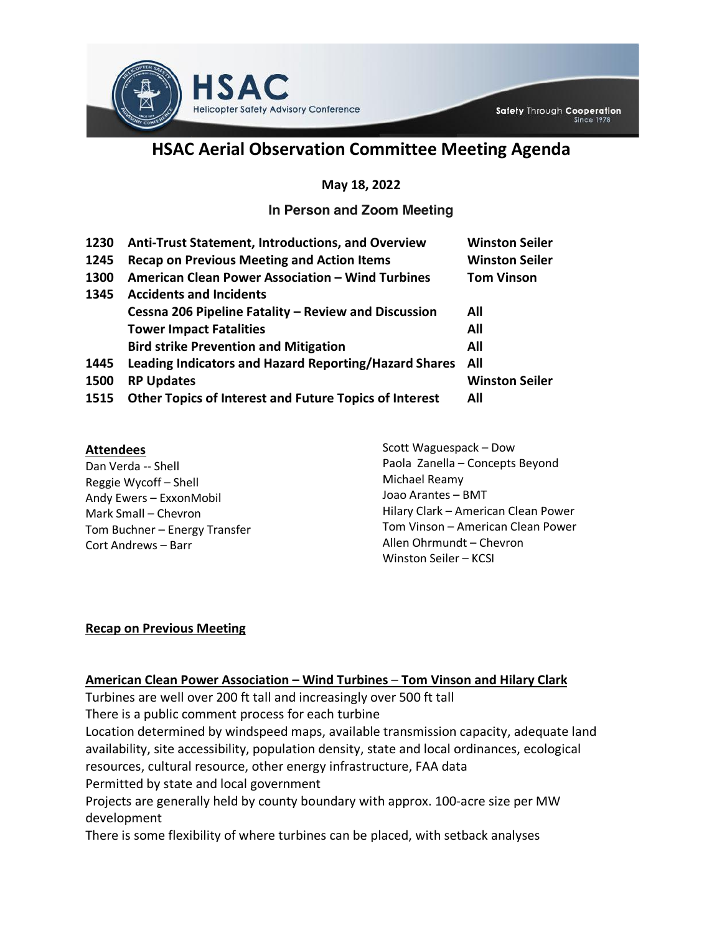

# **HSAC Aerial Observation Committee Meeting Agenda**

#### **May 18, 2022**

## **In Person and Zoom Meeting**

| 1230 | <b>Anti-Trust Statement, Introductions, and Overview</b>      | <b>Winston Seiler</b> |
|------|---------------------------------------------------------------|-----------------------|
| 1245 | <b>Recap on Previous Meeting and Action Items</b>             | <b>Winston Seiler</b> |
| 1300 | American Clean Power Association - Wind Turbines              | <b>Tom Vinson</b>     |
| 1345 | <b>Accidents and Incidents</b>                                |                       |
|      | Cessna 206 Pipeline Fatality - Review and Discussion          | All                   |
|      | <b>Tower Impact Fatalities</b>                                | All                   |
|      | <b>Bird strike Prevention and Mitigation</b>                  | All                   |
| 1445 | Leading Indicators and Hazard Reporting/Hazard Shares         | All                   |
| 1500 | <b>RP Updates</b>                                             | <b>Winston Seiler</b> |
| 1515 | <b>Other Topics of Interest and Future Topics of Interest</b> | All                   |

#### **Attendees**

Dan Verda -- Shell Reggie Wycoff – Shell Andy Ewers – ExxonMobil Mark Small – Chevron Tom Buchner – Energy Transfer Cort Andrews – Barr

Scott Waguespack – Dow Paola Zanella – Concepts Beyond Michael Reamy Joao Arantes – BMT Hilary Clark – American Clean Power Tom Vinson – American Clean Power Allen Ohrmundt – Chevron Winston Seiler – KCSI

#### **Recap on Previous Meeting**

#### **American Clean Power Association – Wind Turbines** – **Tom Vinson and Hilary Clark**

Turbines are well over 200 ft tall and increasingly over 500 ft tall There is a public comment process for each turbine Location determined by windspeed maps, available transmission capacity, adequate land availability, site accessibility, population density, state and local ordinances, ecological resources, cultural resource, other energy infrastructure, FAA data Permitted by state and local government Projects are generally held by county boundary with approx. 100-acre size per MW development There is some flexibility of where turbines can be placed, with setback analyses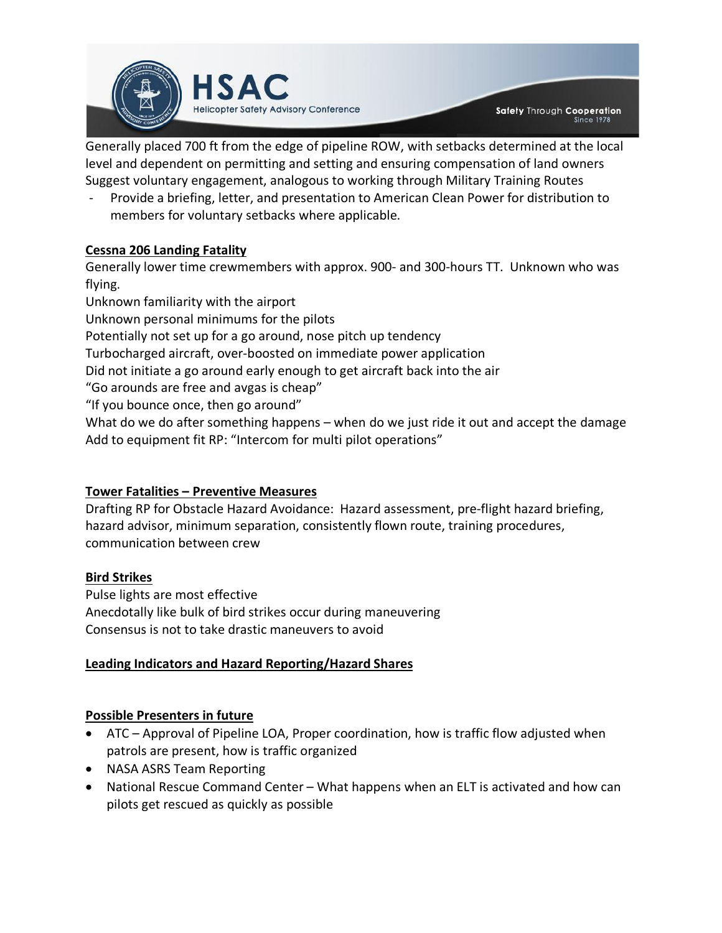

Generally placed 700 ft from the edge of pipeline ROW, with setbacks determined at the local level and dependent on permitting and setting and ensuring compensation of land owners Suggest voluntary engagement, analogous to working through Military Training Routes

Provide a briefing, letter, and presentation to American Clean Power for distribution to members for voluntary setbacks where applicable.

## **Cessna 206 Landing Fatality**

Generally lower time crewmembers with approx. 900- and 300-hours TT. Unknown who was flying.

Unknown familiarity with the airport Unknown personal minimums for the pilots Potentially not set up for a go around, nose pitch up tendency Turbocharged aircraft, over-boosted on immediate power application Did not initiate a go around early enough to get aircraft back into the air "Go arounds are free and avgas is cheap" "If you bounce once, then go around" What do we do after something happens – when do we just ride it out and accept the damage Add to equipment fit RP: "Intercom for multi pilot operations"

## **Tower Fatalities – Preventive Measures**

Drafting RP for Obstacle Hazard Avoidance: Hazard assessment, pre-flight hazard briefing, hazard advisor, minimum separation, consistently flown route, training procedures, communication between crew

## **Bird Strikes**

Pulse lights are most effective Anecdotally like bulk of bird strikes occur during maneuvering Consensus is not to take drastic maneuvers to avoid

## **Leading Indicators and Hazard Reporting/Hazard Shares**

## **Possible Presenters in future**

- ATC Approval of Pipeline LOA, Proper coordination, how is traffic flow adjusted when patrols are present, how is traffic organized
- NASA ASRS Team Reporting
- National Rescue Command Center What happens when an ELT is activated and how can pilots get rescued as quickly as possible